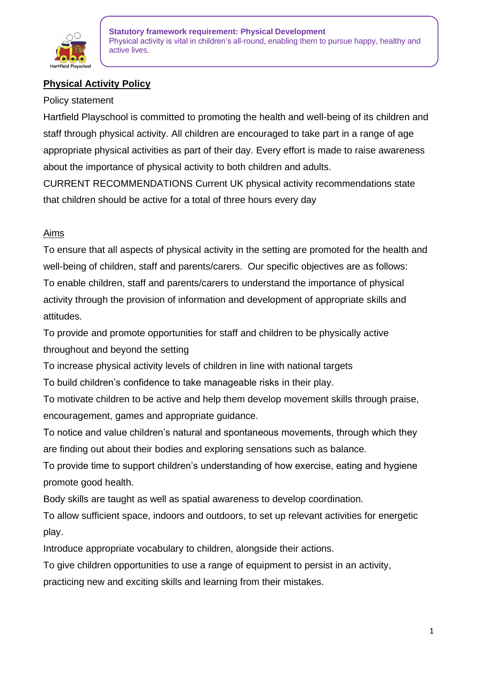

# **Physical Activity Policy**

#### Policy statement

Hartfield Playschool is committed to promoting the health and well-being of its children and staff through physical activity. All children are encouraged to take part in a range of age appropriate physical activities as part of their day. Every effort is made to raise awareness about the importance of physical activity to both children and adults.

CURRENT RECOMMENDATIONS Current UK physical activity recommendations state that children should be active for a total of three hours every day

### Aims

To ensure that all aspects of physical activity in the setting are promoted for the health and well-being of children, staff and parents/carers. Our specific objectives are as follows: To enable children, staff and parents/carers to understand the importance of physical activity through the provision of information and development of appropriate skills and attitudes.

To provide and promote opportunities for staff and children to be physically active throughout and beyond the setting

To increase physical activity levels of children in line with national targets

To build children's confidence to take manageable risks in their play.

To motivate children to be active and help them develop movement skills through praise, encouragement, games and appropriate guidance.

To notice and value children's natural and spontaneous movements, through which they are finding out about their bodies and exploring sensations such as balance.

To provide time to support children's understanding of how exercise, eating and hygiene promote good health.

Body skills are taught as well as spatial awareness to develop coordination.

To allow sufficient space, indoors and outdoors, to set up relevant activities for energetic play.

Introduce appropriate vocabulary to children, alongside their actions.

To give children opportunities to use a range of equipment to persist in an activity,

practicing new and exciting skills and learning from their mistakes.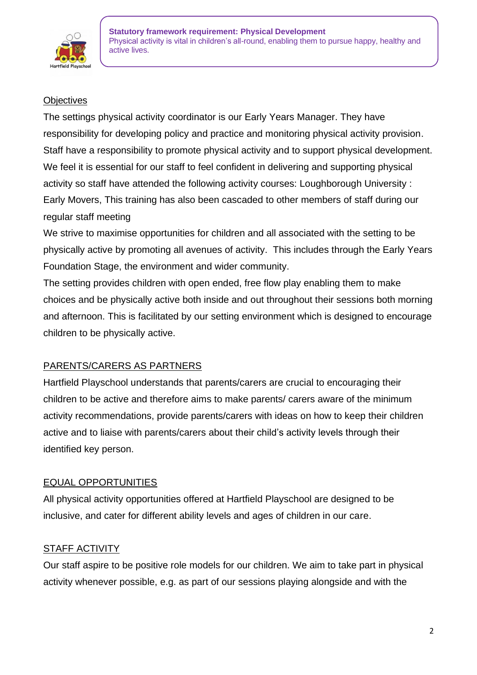

## **Objectives**

The settings physical activity coordinator is our Early Years Manager. They have responsibility for developing policy and practice and monitoring physical activity provision. Staff have a responsibility to promote physical activity and to support physical development. We feel it is essential for our staff to feel confident in delivering and supporting physical activity so staff have attended the following activity courses: Loughborough University : Early Movers, This training has also been cascaded to other members of staff during our regular staff meeting

We strive to maximise opportunities for children and all associated with the setting to be physically active by promoting all avenues of activity. This includes through the Early Years Foundation Stage, the environment and wider community.

The setting provides children with open ended, free flow play enabling them to make choices and be physically active both inside and out throughout their sessions both morning and afternoon. This is facilitated by our setting environment which is designed to encourage children to be physically active.

## PARENTS/CARERS AS PARTNERS

Hartfield Playschool understands that parents/carers are crucial to encouraging their children to be active and therefore aims to make parents/ carers aware of the minimum activity recommendations, provide parents/carers with ideas on how to keep their children active and to liaise with parents/carers about their child's activity levels through their identified key person.

# EQUAL OPPORTUNITIES

All physical activity opportunities offered at Hartfield Playschool are designed to be inclusive, and cater for different ability levels and ages of children in our care.

## STAFF ACTIVITY

Our staff aspire to be positive role models for our children. We aim to take part in physical activity whenever possible, e.g. as part of our sessions playing alongside and with the